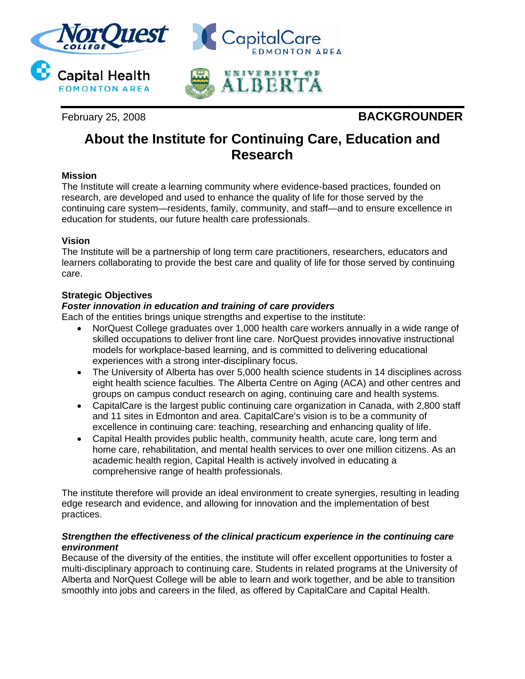

## February 25, 2008 **BACKGROUNDER**

# **About the Institute for Continuing Care, Education and Research**

## **Mission**

The Institute will create a learning community where evidence-based practices, founded on research, are developed and used to enhance the quality of life for those served by the continuing care system—residents, family, community, and staff—and to ensure excellence in education for students, our future health care professionals.

## **Vision**

The Institute will be a partnership of long term care practitioners, researchers, educators and learners collaborating to provide the best care and quality of life for those served by continuing care.

## **Strategic Objectives**

## *Foster innovation in education and training of care providers*

Each of the entities brings unique strengths and expertise to the institute:

- NorQuest College graduates over 1,000 health care workers annually in a wide range of skilled occupations to deliver front line care. NorQuest provides innovative instructional models for workplace-based learning, and is committed to delivering educational experiences with a strong inter-disciplinary focus.
- The University of Alberta has over 5,000 health science students in 14 disciplines across eight health science faculties. The Alberta Centre on Aging (ACA) and other centres and groups on campus conduct research on aging, continuing care and health systems.
- CapitalCare is the largest public continuing care organization in Canada, with 2,800 staff and 11 sites in Edmonton and area. CapitalCare's vision is to be a community of excellence in continuing care: teaching, researching and enhancing quality of life.
- Capital Health provides public health, community health, acute care, long term and home care, rehabilitation, and mental health services to over one million citizens. As an academic health region, Capital Health is actively involved in educating a comprehensive range of health professionals.

The institute therefore will provide an ideal environment to create synergies, resulting in leading edge research and evidence, and allowing for innovation and the implementation of best practices.

#### *Strengthen the effectiveness of the clinical practicum experience in the continuing care environment*

Because of the diversity of the entities, the institute will offer excellent opportunities to foster a multi-disciplinary approach to continuing care. Students in related programs at the University of Alberta and NorQuest College will be able to learn and work together, and be able to transition smoothly into jobs and careers in the filed, as offered by CapitalCare and Capital Health.